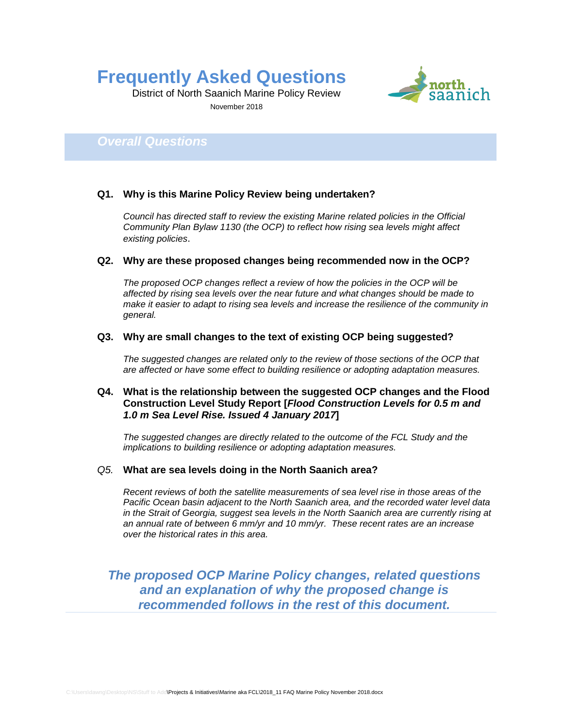**Frequently Asked Questions**



District of North Saanich Marine Policy Review

November 2018

# *Overall Questions*

# **Q1. Why is this Marine Policy Review being undertaken?**

*Council has directed staff to review the existing Marine related policies in the Official Community Plan Bylaw 1130 (the OCP) to reflect how rising sea levels might affect existing policies*.

# **Q2. Why are these proposed changes being recommended now in the OCP?**

*The proposed OCP changes reflect a review of how the policies in the OCP will be affected by rising sea levels over the near future and what changes should be made to make it easier to adapt to rising sea levels and increase the resilience of the community in general.*

## **Q3. Why are small changes to the text of existing OCP being suggested?**

*The suggested changes are related only to the review of those sections of the OCP that are affected or have some effect to building resilience or adopting adaptation measures.*

## **Q4. What is the relationship between the suggested OCP changes and the Flood Construction Level Study Report [***Flood Construction Levels for 0.5 m and 1.0 m Sea Level Rise. Issued 4 January 2017***]**

*The suggested changes are directly related to the outcome of the FCL Study and the implications to building resilience or adopting adaptation measures.*

#### *Q5.* **What are sea levels doing in the North Saanich area?**

*Recent reviews of both the satellite measurements of sea level rise in those areas of the Pacific Ocean basin adjacent to the North Saanich area, and the recorded water level data in the Strait of Georgia, suggest sea levels in the North Saanich area are currently rising at an annual rate of between 6 mm/yr and 10 mm/yr. These recent rates are an increase over the historical rates in this area.*

*The proposed OCP Marine Policy changes, related questions and an explanation of why the proposed change is recommended follows in the rest of this document.*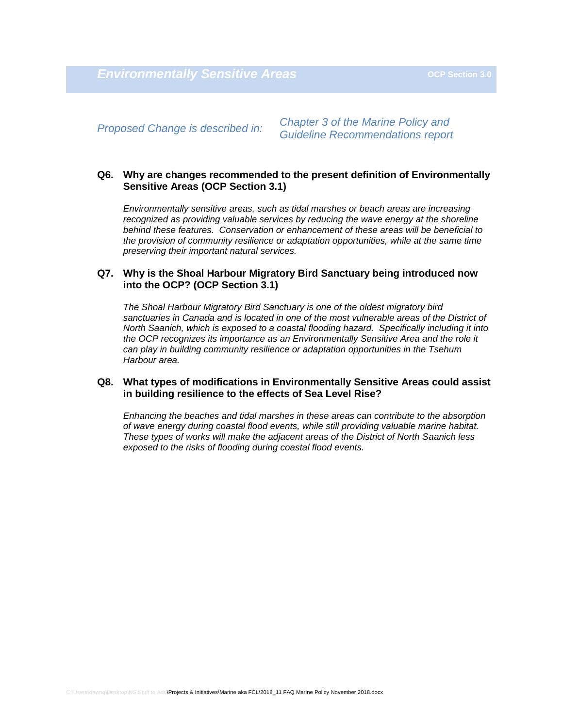*Proposed Change is described in: Chapter 3 of the Marine Policy and Guideline Recommendations report*

## **Q6. Why are changes recommended to the present definition of Environmentally Sensitive Areas (OCP Section 3.1)**

*Environmentally sensitive areas, such as tidal marshes or beach areas are increasing*  recognized as providing valuable services by reducing the wave energy at the shoreline *behind these features. Conservation or enhancement of these areas will be beneficial to the provision of community resilience or adaptation opportunities, while at the same time preserving their important natural services.*

#### **Q7. Why is the Shoal Harbour Migratory Bird Sanctuary being introduced now into the OCP? (OCP Section 3.1)**

*The Shoal Harbour Migratory Bird Sanctuary is one of the oldest migratory bird*  sanctuaries in Canada and is located in one of the most vulnerable areas of the District of *North Saanich, which is exposed to a coastal flooding hazard. Specifically including it into the OCP recognizes its importance as an Environmentally Sensitive Area and the role it can play in building community resilience or adaptation opportunities in the Tsehum Harbour area.*

#### **Q8. What types of modifications in Environmentally Sensitive Areas could assist in building resilience to the effects of Sea Level Rise?**

*Enhancing the beaches and tidal marshes in these areas can contribute to the absorption of wave energy during coastal flood events, while still providing valuable marine habitat. These types of works will make the adjacent areas of the District of North Saanich less exposed to the risks of flooding during coastal flood events.*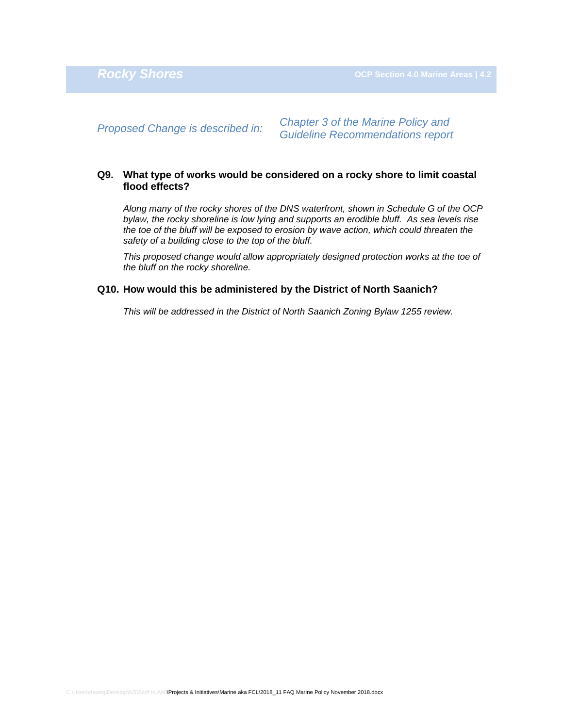*Proposed Change is described in: Chapter 3 of the Marine Policy and Guideline Recommendations report*

#### **Q9. What type of works would be considered on a rocky shore to limit coastal flood effects?**

*Along many of the rocky shores of the DNS waterfront, shown in Schedule G of the OCP bylaw, the rocky shoreline is low lying and supports an erodible bluff. As sea levels rise the toe of the bluff will be exposed to erosion by wave action, which could threaten the safety of a building close to the top of the bluff.*

*This proposed change would allow appropriately designed protection works at the toe of the bluff on the rocky shoreline.*

#### **Q10. How would this be administered by the District of North Saanich?**

*This will be addressed in the District of North Saanich Zoning Bylaw 1255 review.*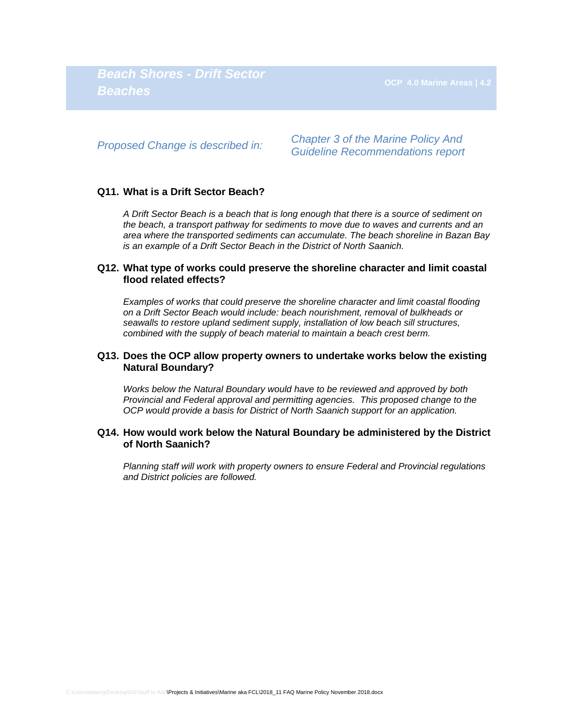*Beach Shores - Drift Sector Beaches*

*Proposed Change is described in: Chapter 3 of the Marine Policy And Guideline Recommendations report*

#### **Q11. What is a Drift Sector Beach?**

*A Drift Sector Beach is a beach that is long enough that there is a source of sediment on the beach, a transport pathway for sediments to move due to waves and currents and an area where the transported sediments can accumulate. The beach shoreline in Bazan Bay is an example of a Drift Sector Beach in the District of North Saanich.*

#### **Q12. What type of works could preserve the shoreline character and limit coastal flood related effects?**

*Examples of works that could preserve the shoreline character and limit coastal flooding on a Drift Sector Beach would include: beach nourishment, removal of bulkheads or seawalls to restore upland sediment supply, installation of low beach sill structures, combined with the supply of beach material to maintain a beach crest berm.*

#### **Q13. Does the OCP allow property owners to undertake works below the existing Natural Boundary?**

*Works below the Natural Boundary would have to be reviewed and approved by both Provincial and Federal approval and permitting agencies. This proposed change to the OCP would provide a basis for District of North Saanich support for an application.*

#### **Q14. How would work below the Natural Boundary be administered by the District of North Saanich?**

*Planning staff will work with property owners to ensure Federal and Provincial regulations and District policies are followed.*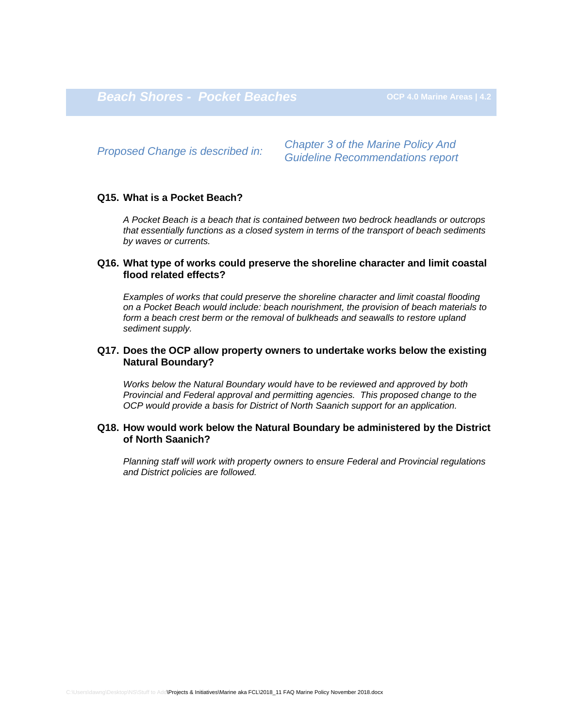*Beach Shores - Pocket Beaches* **OCP 4.0 Marine Areas | 4.2** 

*Proposed Change is described in: Chapter 3 of the Marine Policy And Guideline Recommendations report*

#### **Q15. What is a Pocket Beach?**

*A Pocket Beach is a beach that is contained between two bedrock headlands or outcrops that essentially functions as a closed system in terms of the transport of beach sediments by waves or currents.*

#### **Q16. What type of works could preserve the shoreline character and limit coastal flood related effects?**

*Examples of works that could preserve the shoreline character and limit coastal flooding on a Pocket Beach would include: beach nourishment, the provision of beach materials to form a beach crest berm or the removal of bulkheads and seawalls to restore upland sediment supply.*

#### **Q17. Does the OCP allow property owners to undertake works below the existing Natural Boundary?**

*Works below the Natural Boundary would have to be reviewed and approved by both Provincial and Federal approval and permitting agencies. This proposed change to the OCP would provide a basis for District of North Saanich support for an application.*

#### **Q18. How would work below the Natural Boundary be administered by the District of North Saanich?**

*Planning staff will work with property owners to ensure Federal and Provincial regulations and District policies are followed.*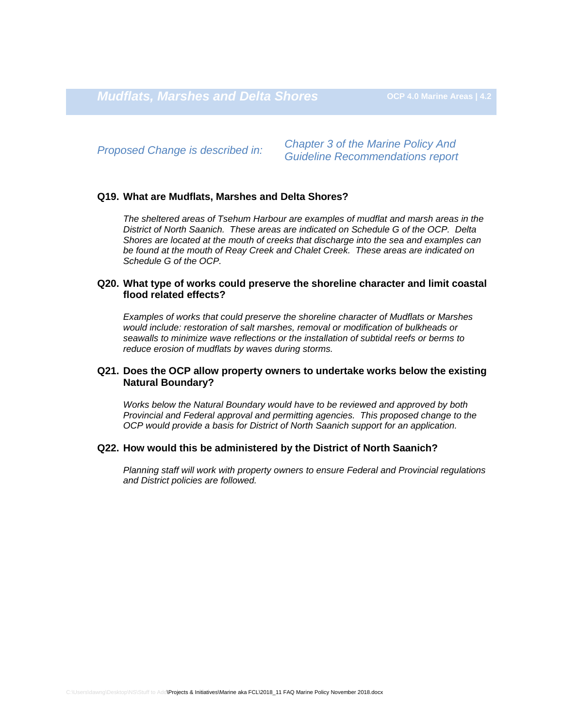*Proposed Change is described in: Chapter 3 of the Marine Policy And Guideline Recommendations report*

#### **Q19. What are Mudflats, Marshes and Delta Shores?**

*The sheltered areas of Tsehum Harbour are examples of mudflat and marsh areas in the District of North Saanich. These areas are indicated on Schedule G of the OCP. Delta Shores are located at the mouth of creeks that discharge into the sea and examples can be found at the mouth of Reay Creek and Chalet Creek. These areas are indicated on Schedule G of the OCP.*

#### **Q20. What type of works could preserve the shoreline character and limit coastal flood related effects?**

*Examples of works that could preserve the shoreline character of Mudflats or Marshes would include: restoration of salt marshes, removal or modification of bulkheads or seawalls to minimize wave reflections or the installation of subtidal reefs or berms to reduce erosion of mudflats by waves during storms.*

#### **Q21. Does the OCP allow property owners to undertake works below the existing Natural Boundary?**

*Works below the Natural Boundary would have to be reviewed and approved by both Provincial and Federal approval and permitting agencies. This proposed change to the OCP would provide a basis for District of North Saanich support for an application.*

#### **Q22. How would this be administered by the District of North Saanich?**

*Planning staff will work with property owners to ensure Federal and Provincial regulations and District policies are followed.*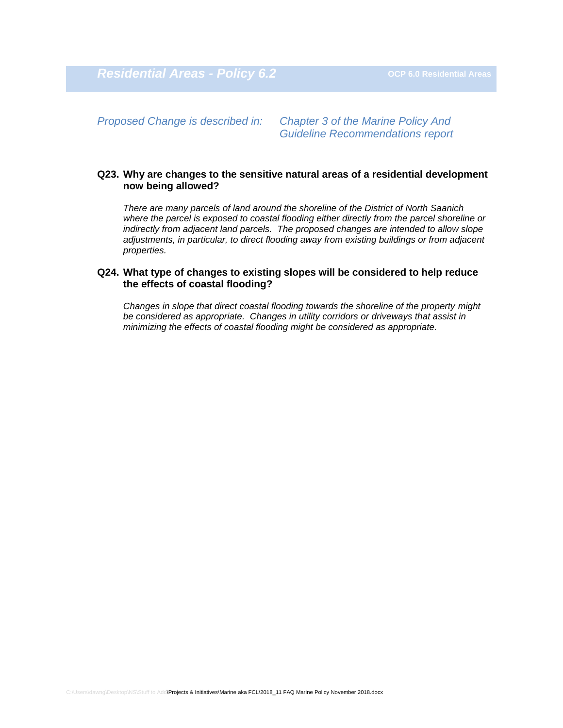*Proposed Change is described in: Chapter 3 of the Marine Policy And Guideline Recommendations report*

#### **Q23. Why are changes to the sensitive natural areas of a residential development now being allowed?**

*There are many parcels of land around the shoreline of the District of North Saanich where the parcel is exposed to coastal flooding either directly from the parcel shoreline or indirectly from adjacent land parcels. The proposed changes are intended to allow slope adjustments, in particular, to direct flooding away from existing buildings or from adjacent properties.*

#### **Q24. What type of changes to existing slopes will be considered to help reduce the effects of coastal flooding?**

*Changes in slope that direct coastal flooding towards the shoreline of the property might be considered as appropriate. Changes in utility corridors or driveways that assist in minimizing the effects of coastal flooding might be considered as appropriate.*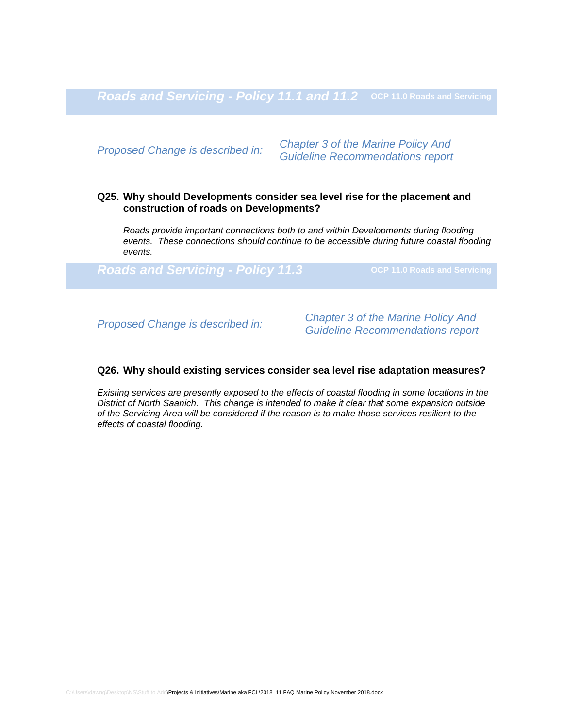*Roads and Servicing - Policy 11.1 and 11.2* **OCP 11.0 Roads and Servicing**

*Proposed Change is described in: Chapter 3 of the Marine Policy And Guideline Recommendations report*

#### **Q25. Why should Developments consider sea level rise for the placement and construction of roads on Developments?**

*Roads provide important connections both to and within Developments during flooding events. These connections should continue to be accessible during future coastal flooding events.*

*Roads and Servicing - Policy 11.3* **OCP 11.0 Roads and Servicing** 

*Proposed Change is described in: Chapter 3 of the Marine Policy And Guideline Recommendations report*

#### **Q26. Why should existing services consider sea level rise adaptation measures?**

*Existing services are presently exposed to the effects of coastal flooding in some locations in the District of North Saanich. This change is intended to make it clear that some expansion outside of the Servicing Area will be considered if the reason is to make those services resilient to the effects of coastal flooding.*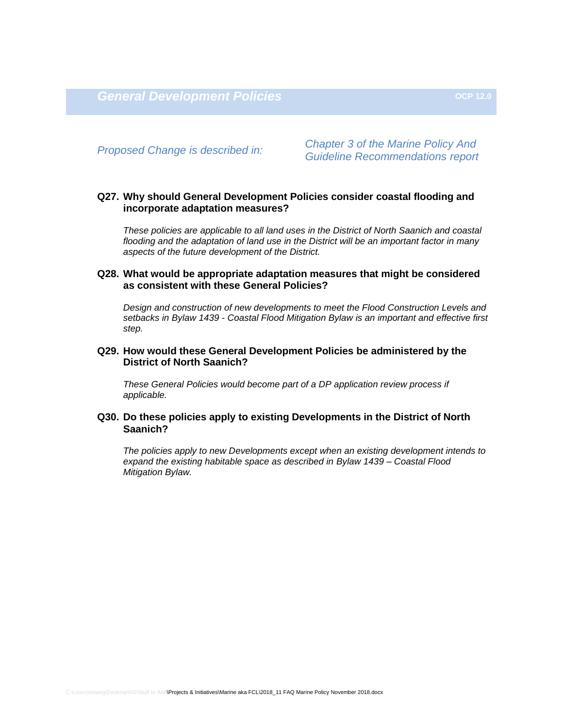**General Development Policies CEP 12.0 OCP 12.0 OCP 12.0** 

*Proposed Change is described in: Chapter 3 of the Marine Policy And Guideline Recommendations report*

#### **Q27. Why should General Development Policies consider coastal flooding and incorporate adaptation measures?**

*These policies are applicable to all land uses in the District of North Saanich and coastal flooding and the adaptation of land use in the District will be an important factor in many aspects of the future development of the District.*

#### **Q28. What would be appropriate adaptation measures that might be considered as consistent with these General Policies?**

*Design and construction of new developments to meet the Flood Construction Levels and setbacks in Bylaw 1439 - Coastal Flood Mitigation Bylaw is an important and effective first step.*

#### **Q29. How would these General Development Policies be administered by the District of North Saanich?**

*These General Policies would become part of a DP application review process if applicable.*

#### **Q30. Do these policies apply to existing Developments in the District of North Saanich?**

*The policies apply to new Developments except when an existing development intends to expand the existing habitable space as described in Bylaw 1439 – Coastal Flood Mitigation Bylaw.*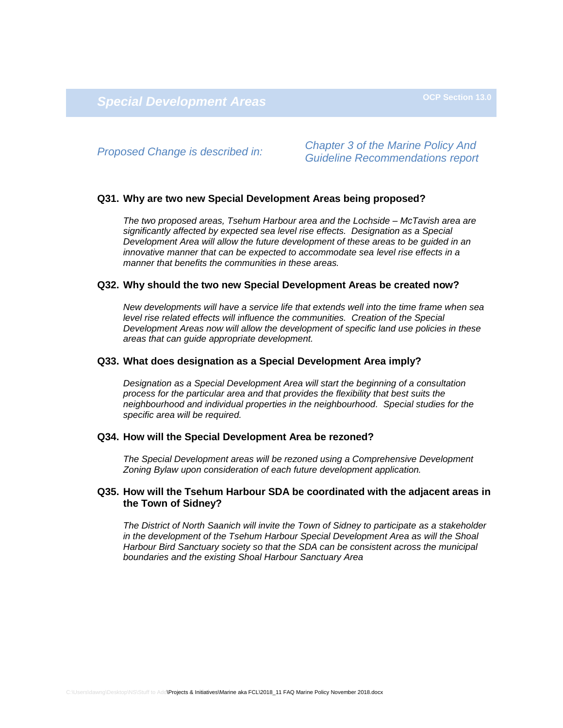# **Special Development Areas COVID-13.0 OCP Section 13.0**

*Proposed Change is described in: Chapter 3 of the Marine Policy And Guideline Recommendations report*

#### **Q31. Why are two new Special Development Areas being proposed?**

*The two proposed areas, Tsehum Harbour area and the Lochside – McTavish area are significantly affected by expected sea level rise effects. Designation as a Special Development Area will allow the future development of these areas to be guided in an innovative manner that can be expected to accommodate sea level rise effects in a manner that benefits the communities in these areas.* 

## **Q32. Why should the two new Special Development Areas be created now?**

*New developments will have a service life that extends well into the time frame when sea*  level rise related effects will influence the communities. Creation of the Special *Development Areas now will allow the development of specific land use policies in these areas that can guide appropriate development.*

#### **Q33. What does designation as a Special Development Area imply?**

*Designation as a Special Development Area will start the beginning of a consultation process for the particular area and that provides the flexibility that best suits the neighbourhood and individual properties in the neighbourhood. Special studies for the specific area will be required.*

#### **Q34. How will the Special Development Area be rezoned?**

*The Special Development areas will be rezoned using a Comprehensive Development Zoning Bylaw upon consideration of each future development application.*

#### **Q35. How will the Tsehum Harbour SDA be coordinated with the adjacent areas in the Town of Sidney?**

*The District of North Saanich will invite the Town of Sidney to participate as a stakeholder*  in the development of the Tsehum Harbour Special Development Area as will the Shoal *Harbour Bird Sanctuary society so that the SDA can be consistent across the municipal boundaries and the existing Shoal Harbour Sanctuary Area*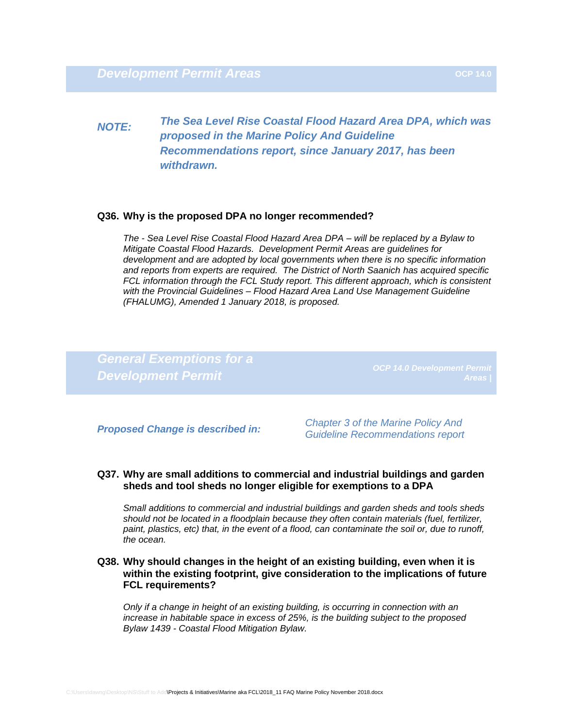*NOTE: The Sea Level Rise Coastal Flood Hazard Area DPA, which was proposed in the Marine Policy And Guideline Recommendations report, since January 2017, has been withdrawn.*

#### **Q36. Why is the proposed DPA no longer recommended?**

*The - Sea Level Rise Coastal Flood Hazard Area DPA – will be replaced by a Bylaw to Mitigate Coastal Flood Hazards. Development Permit Areas are guidelines for development and are adopted by local governments when there is no specific information and reports from experts are required. The District of North Saanich has acquired specific FCL information through the FCL Study report. This different approach, which is consistent with the Provincial Guidelines – Flood Hazard Area Land Use Management Guideline (FHALUMG), Amended 1 January 2018, is proposed.*

*General Exemptions for a Development Permit OCP 14.0 Development Permit Areas |*

*Proposed Change is described in: Chapter 3 of the Marine Policy And Guideline Recommendations report*

#### **Q37. Why are small additions to commercial and industrial buildings and garden sheds and tool sheds no longer eligible for exemptions to a DPA**

*Small additions to commercial and industrial buildings and garden sheds and tools sheds should not be located in a floodplain because they often contain materials (fuel, fertilizer, paint, plastics, etc) that, in the event of a flood, can contaminate the soil or, due to runoff, the ocean.*

**Q38. Why should changes in the height of an existing building, even when it is within the existing footprint, give consideration to the implications of future FCL requirements?**

*Only if a change in height of an existing building, is occurring in connection with an increase in habitable space in excess of 25%, is the building subject to the proposed Bylaw 1439 - Coastal Flood Mitigation Bylaw.*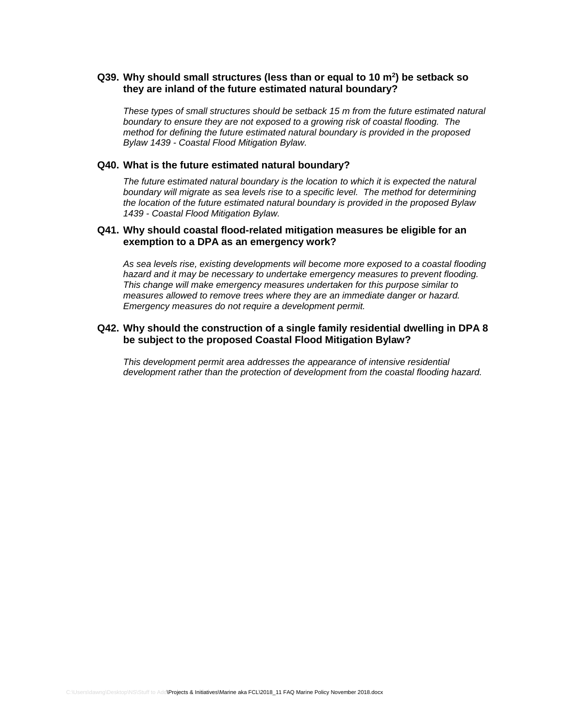#### **Q39. Why should small structures (less than or equal to 10 m<sup>2</sup> ) be setback so they are inland of the future estimated natural boundary?**

*These types of small structures should be setback 15 m from the future estimated natural boundary to ensure they are not exposed to a growing risk of coastal flooding. The method for defining the future estimated natural boundary is provided in the proposed Bylaw 1439 - Coastal Flood Mitigation Bylaw.*

#### **Q40. What is the future estimated natural boundary?**

*The future estimated natural boundary is the location to which it is expected the natural boundary will migrate as sea levels rise to a specific level. The method for determining the location of the future estimated natural boundary is provided in the proposed Bylaw 1439 - Coastal Flood Mitigation Bylaw.*

#### **Q41. Why should coastal flood-related mitigation measures be eligible for an exemption to a DPA as an emergency work?**

*As sea levels rise, existing developments will become more exposed to a coastal flooding hazard and it may be necessary to undertake emergency measures to prevent flooding. This change will make emergency measures undertaken for this purpose similar to measures allowed to remove trees where they are an immediate danger or hazard. Emergency measures do not require a development permit.*

#### **Q42. Why should the construction of a single family residential dwelling in DPA 8 be subject to the proposed Coastal Flood Mitigation Bylaw?**

*This development permit area addresses the appearance of intensive residential development rather than the protection of development from the coastal flooding hazard.*